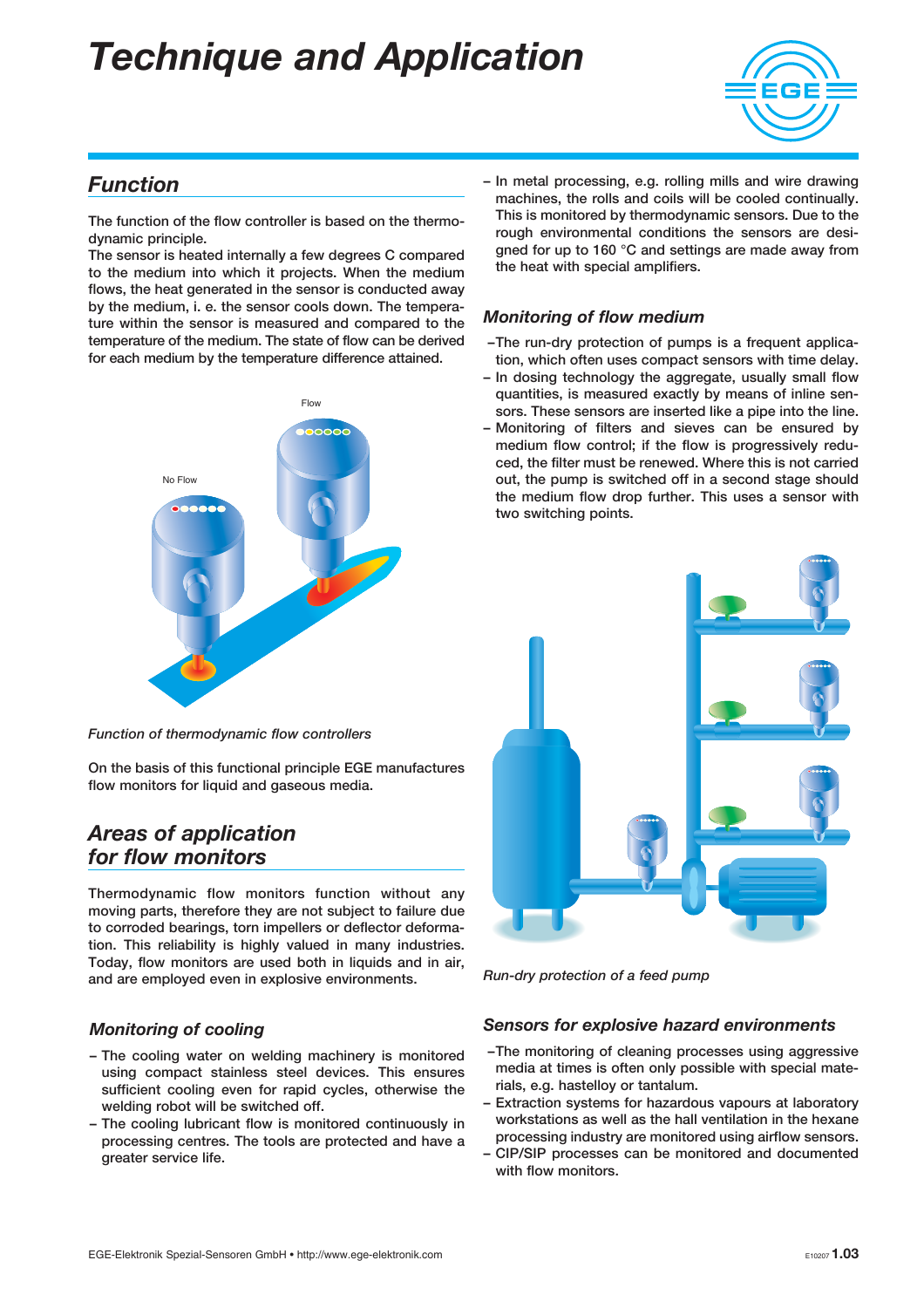

#### Function

The function of the flow controller is based on the thermodynamic principle.

The sensor is heated internally a few degrees C compared to the medium into which it projects. When the medium flows, the heat generated in the sensor is conducted away by the medium, i. e. the sensor cools down. The temperature within the sensor is measured and compared to the temperature of the medium. The state of flow can be derived for each medium by the temperature difference attained.



Function of thermodynamic flow controllers

On the basis of this functional principle EGE manufactures flow monitors for liquid and gaseous media.

#### Areas of application for flow monitors

Thermodynamic flow monitors function without any moving parts, therefore they are not subject to failure due to corroded bearings, torn impellers or deflector deformation. This reliability is highly valued in many industries. Today, flow monitors are used both in liquids and in air, and are employed even in explosive environments.

#### Monitoring of cooling

- The cooling water on welding machinery is monitored using compact stainless steel devices. This ensures sufficient cooling even for rapid cycles, otherwise the welding robot will be switched off.
- The cooling lubricant flow is monitored continuously in processing centres. The tools are protected and have a greater service life.

– In metal processing, e.g. rolling mills and wire drawing machines, the rolls and coils will be cooled continually. This is monitored by thermodynamic sensors. Due to the rough environmental conditions the sensors are designed for up to 160 °C and settings are made away from the heat with special amplifiers.

#### Monitoring of flow medium

- –The run-dry protection of pumps is a frequent application, which often uses compact sensors with time delay.
- In dosing technology the aggregate, usually small flow quantities, is measured exactly by means of inline sensors. These sensors are inserted like a pipe into the line.
- Monitoring of filters and sieves can be ensured by medium flow control; if the flow is progressively reduced, the filter must be renewed. Where this is not carried out, the pump is switched off in a second stage should the medium flow drop further. This uses a sensor with two switching points.



Run-dry protection of a feed pump

#### Sensors for explosive hazard environments

- –The monitoring of cleaning processes using aggressive media at times is often only possible with special materials, e.g. hastelloy or tantalum.
- Extraction systems for hazardous vapours at laboratory workstations as well as the hall ventilation in the hexane processing industry are monitored using airflow sensors.
- CIP/SIP processes can be monitored and documented with flow monitors.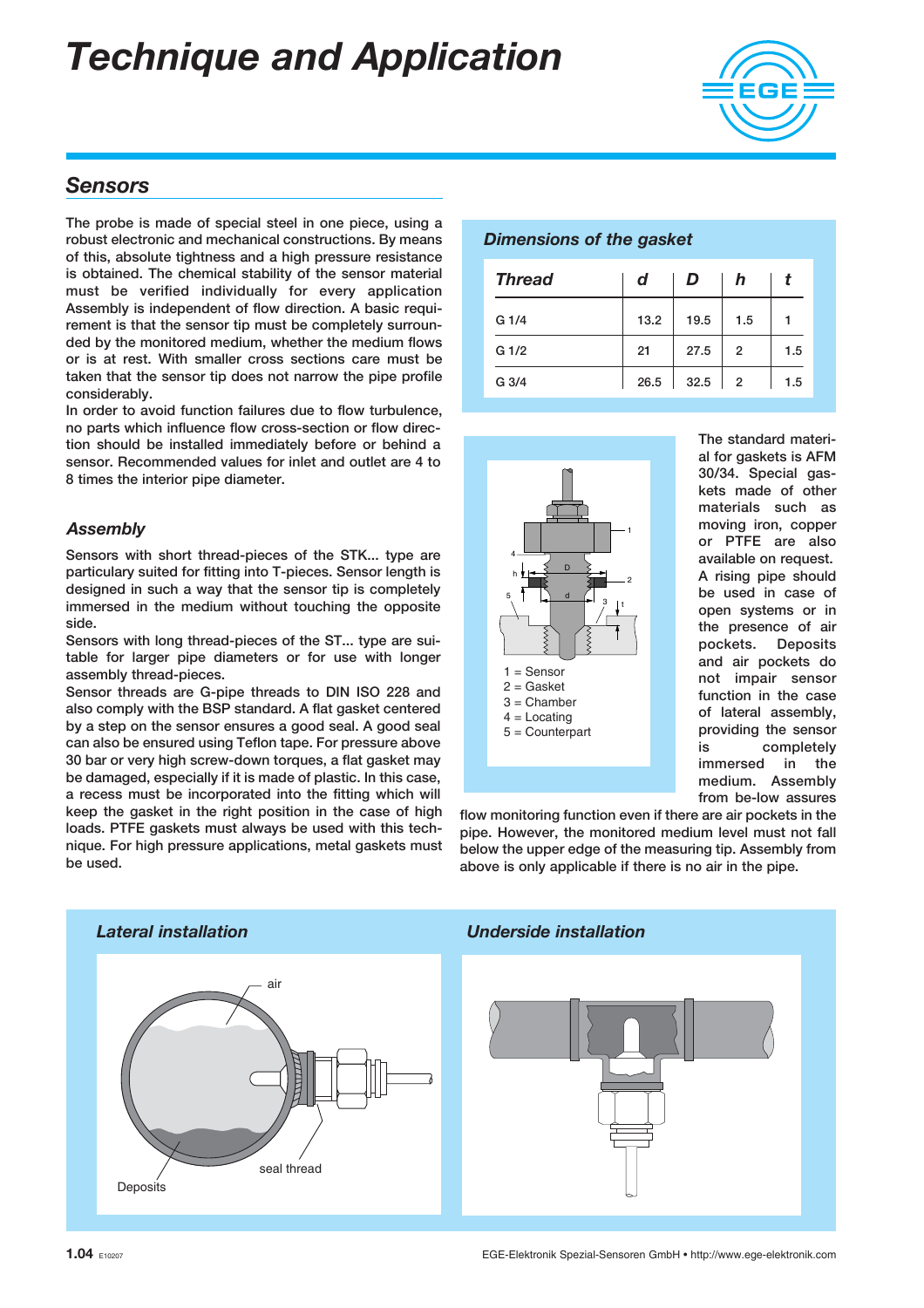

#### **Sensors**

The probe is made of special steel in one piece, using a robust electronic and mechanical constructions. By means of this, absolute tightness and a high pressure resistance is obtained. The chemical stability of the sensor material must be verified individually for every application Assembly is independent of flow direction. A basic requirement is that the sensor tip must be completely surrounded by the monitored medium, whether the medium flows or is at rest. With smaller cross sections care must be taken that the sensor tip does not narrow the pipe profile considerably.

In order to avoid function failures due to flow turbulence, no parts which influence flow cross-section or flow direction should be installed immediately before or behind a sensor. Recommended values for inlet and outlet are 4 to 8 times the interior pipe diameter.

#### **Assembly**

Sensors with short thread-pieces of the STK... type are particulary suited for fitting into T-pieces. Sensor length is designed in such a way that the sensor tip is completely immersed in the medium without touching the opposite side.

Sensors with long thread-pieces of the ST... type are suitable for larger pipe diameters or for use with longer assembly thread-pieces.

Sensor threads are G-pipe threads to DIN ISO 228 and also comply with the BSP standard. A flat gasket centered by a step on the sensor ensures a good seal. A good seal can also be ensured using Teflon tape. For pressure above 30 bar or very high screw-down torques, a flat gasket may be damaged, especially if it is made of plastic. In this case, a recess must be incorporated into the fitting which will keep the gasket in the right position in the case of high loads. PTFE gaskets must always be used with this technique. For high pressure applications, metal gaskets must be used.

#### Dimensions of the gasket

| <b>Thread</b>    | d    | D    | h              |     |
|------------------|------|------|----------------|-----|
| G 1/4            | 13.2 | 19.5 | 1.5            |     |
| G <sub>1/2</sub> | 21   | 27.5 | 2              | 1.5 |
| G 3/4            | 26.5 | 32.5 | $\overline{2}$ | 1.5 |



The standard material for gaskets is AFM 30/34. Special gaskets made of other materials such as moving iron, copper or PTFE are also available on request. A rising pipe should be used in case of open systems or in the presence of air pockets. Deposits and air pockets do not impair sensor function in the case of lateral assembly, providing the sensor is completely immersed in the medium. Assembly from be-low assures

flow monitoring function even if there are air pockets in the pipe. However, the monitored medium level must not fall below the upper edge of the measuring tip. Assembly from above is only applicable if there is no air in the pipe.

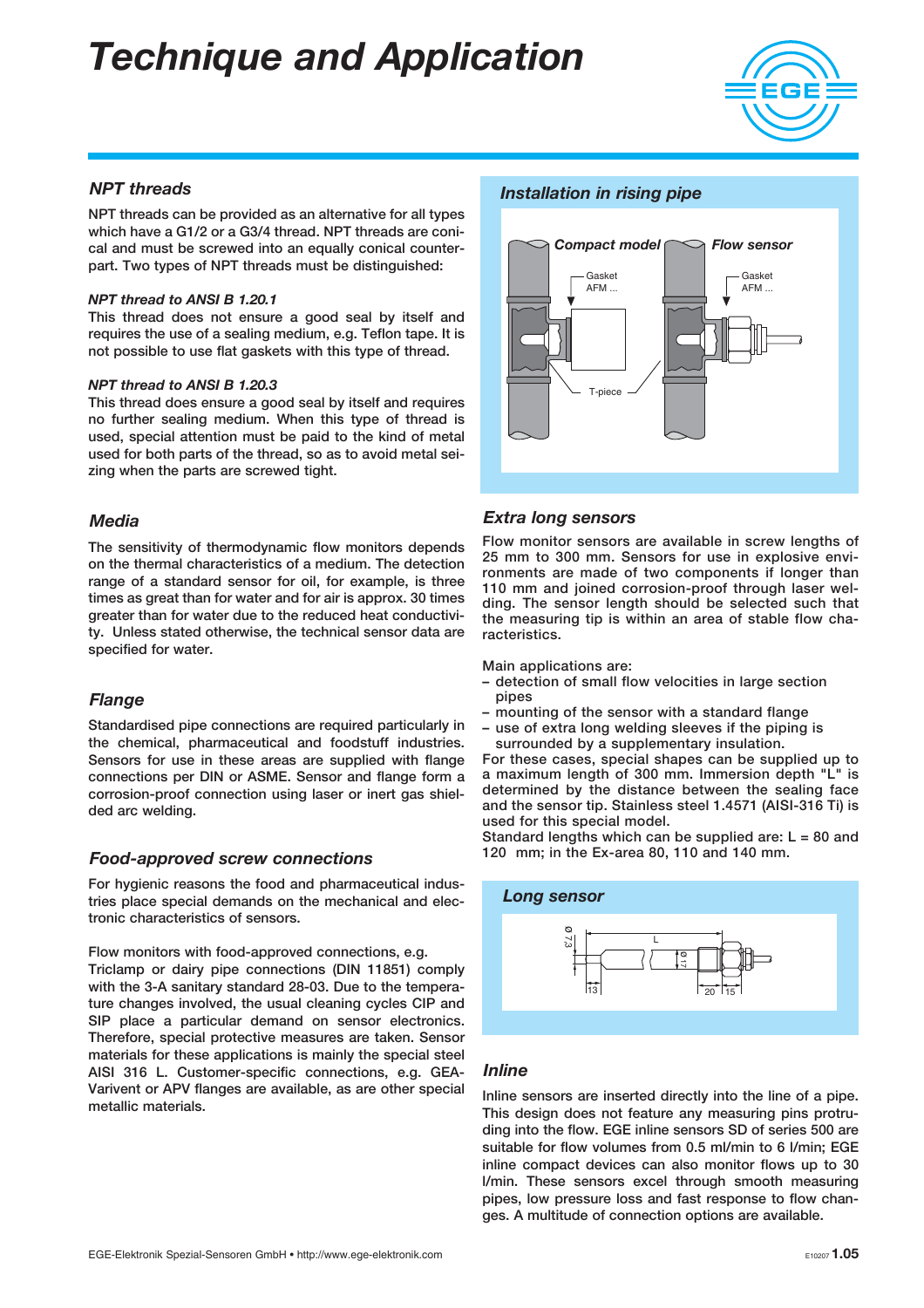

#### NPT threads

NPT threads can be provided as an alternative for all types which have a G1/2 or a G3/4 thread. NPT threads are conical and must be screwed into an equally conical counterpart. Two types of NPT threads must be distinguished:

#### NPT thread to ANSI B 1.20.1

This thread does not ensure a good seal by itself and requires the use of a sealing medium, e.g. Teflon tape. It is not possible to use flat gaskets with this type of thread.

#### NPT thread to ANSI B 1.20.3

This thread does ensure a good seal by itself and requires no further sealing medium. When this type of thread is used, special attention must be paid to the kind of metal used for both parts of the thread, so as to avoid metal seizing when the parts are screwed tight.

#### Media

The sensitivity of thermodynamic flow monitors depends on the thermal characteristics of a medium. The detection range of a standard sensor for oil, for example, is three times as great than for water and for air is approx. 30 times greater than for water due to the reduced heat conductivity. Unless stated otherwise, the technical sensor data are specified for water.

#### **Flange**

Standardised pipe connections are required particularly in the chemical, pharmaceutical and foodstuff industries. Sensors for use in these areas are supplied with flange connections per DIN or ASME. Sensor and flange form a corrosion-proof connection using laser or inert gas shielded arc welding.

#### Food-approved screw connections

For hygienic reasons the food and pharmaceutical industries place special demands on the mechanical and electronic characteristics of sensors.

#### Flow monitors with food-approved connections, e.g.

Triclamp or dairy pipe connections (DIN 11851) comply with the 3-A sanitary standard 28-03. Due to the temperature changes involved, the usual cleaning cycles CIP and SIP place a particular demand on sensor electronics. Therefore, special protective measures are taken. Sensor materials for these applications is mainly the special steel AISI 316 L. Customer-specific connections, e.g. GEA-Varivent or APV flanges are available, as are other special metallic materials.

#### Installation in rising pipe



#### Extra long sensors

Flow monitor sensors are available in screw lengths of 25 mm to 300 mm. Sensors for use in explosive environments are made of two components if longer than 110 mm and joined corrosion-proof through laser welding. The sensor length should be selected such that the measuring tip is within an area of stable flow characteristics.

Main applications are:

- detection of small flow velocities in large section pipes
- mounting of the sensor with a standard flange
- use of extra long welding sleeves if the piping is

surrounded by a supplementary insulation. For these cases, special shapes can be supplied up to a maximum length of 300 mm. Immersion depth "L" is determined by the distance between the sealing face and the sensor tip. Stainless steel 1.4571 (AISI-316 Ti) is used for this special model.

Standard lengths which can be supplied are:  $L = 80$  and 120 mm; in the Ex-area 80, 110 and 140 mm.



#### Inline

Inline sensors are inserted directly into the line of a pipe. This design does not feature any measuring pins protruding into the flow. EGE inline sensors SD of series 500 are suitable for flow volumes from 0.5 ml/min to 6 l/min; EGE inline compact devices can also monitor flows up to 30 l/min. These sensors excel through smooth measuring pipes, low pressure loss and fast response to flow changes. A multitude of connection options are available.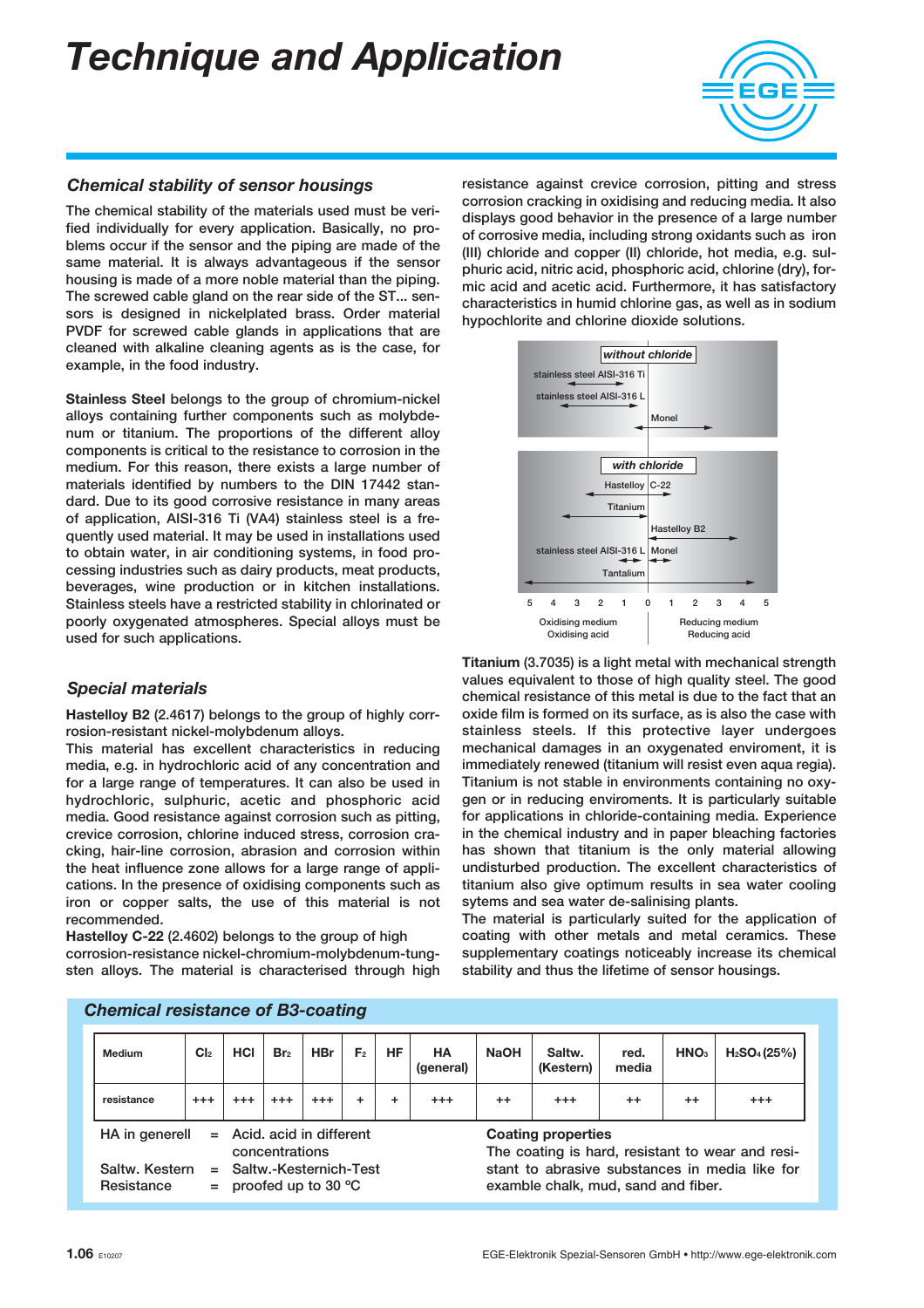

#### Chemical stability of sensor housings

The chemical stability of the materials used must be verified individually for every application. Basically, no problems occur if the sensor and the piping are made of the same material. It is always advantageous if the sensor housing is made of a more noble material than the piping. The screwed cable gland on the rear side of the ST... sensors is designed in nickelplated brass. Order material PVDF for screwed cable glands in applications that are cleaned with alkaline cleaning agents as is the case, for example, in the food industry.

Stainless Steel belongs to the group of chromium-nickel alloys containing further components such as molybdenum or titanium. The proportions of the different alloy components is critical to the resistance to corrosion in the medium. For this reason, there exists a large number of materials identified by numbers to the DIN 17442 standard. Due to its good corrosive resistance in many areas of application, AISI-316 Ti (VA4) stainless steel is a frequently used material. It may be used in installations used to obtain water, in air conditioning systems, in food processing industries such as dairy products, meat products, beverages, wine production or in kitchen installations. Stainless steels have a restricted stability in chlorinated or poorly oxygenated atmospheres. Special alloys must be used for such applications.

#### Special materials

Hastelloy B2 (2.4617) belongs to the group of highly corrrosion-resistant nickel-molybdenum alloys.

This material has excellent characteristics in reducing media, e.g. in hydrochloric acid of any concentration and for a large range of temperatures. It can also be used in hydrochloric, sulphuric, acetic and phosphoric acid media. Good resistance against corrosion such as pitting, crevice corrosion, chlorine induced stress, corrosion cracking, hair-line corrosion, abrasion and corrosion within the heat influence zone allows for a large range of applications. In the presence of oxidising components such as iron or copper salts, the use of this material is not recommended.

Hastelloy C-22 (2.4602) belongs to the group of high corrosion-resistance nickel-chromium-molybdenum-tungsten alloys. The material is characterised through high resistance against crevice corrosion, pitting and stress corrosion cracking in oxidising and reducing media. It also displays good behavior in the presence of a large number of corrosive media, including strong oxidants such as iron (III) chloride and copper (II) chloride, hot media, e.g. sulphuric acid, nitric acid, phosphoric acid, chlorine (dry), formic acid and acetic acid. Furthermore, it has satisfactory characteristics in humid chlorine gas, as well as in sodium hypochlorite and chlorine dioxide solutions.



Titanium (3.7035) is a light metal with mechanical strength values equivalent to those of high quality steel. The good chemical resistance of this metal is due to the fact that an oxide film is formed on its surface, as is also the case with stainless steels. If this protective layer undergoes mechanical damages in an oxygenated enviroment, it is immediately renewed (titanium will resist even aqua regia). Titanium is not stable in environments containing no oxygen or in reducing enviroments. It is particularly suitable for applications in chloride-containing media. Experience in the chemical industry and in paper bleaching factories has shown that titanium is the only material allowing undisturbed production. The excellent characteristics of titanium also give optimum results in sea water cooling sytems and sea water de-salinising plants.

The material is particularly suited for the application of coating with other metals and metal ceramics. These supplementary coatings noticeably increase its chemical stability and thus the lifetime of sensor housings.

| Medium                                                                                                                                           | Cl <sub>2</sub> | <b>HCI</b> | Br <sub>2</sub> | <b>HBr</b> | F <sub>2</sub>                                                                        | <b>HF</b> | <b>HA</b><br>(general) | <b>NaOH</b> | Saltw.<br>(Kestern) | red.<br>media | HNO <sub>3</sub> | H <sub>2</sub> SO <sub>4</sub> (25%) |
|--------------------------------------------------------------------------------------------------------------------------------------------------|-----------------|------------|-----------------|------------|---------------------------------------------------------------------------------------|-----------|------------------------|-------------|---------------------|---------------|------------------|--------------------------------------|
| resistance                                                                                                                                       | $^{++}$         | $^{++}$    | $^{+++}$        | $^{++}$    |                                                                                       | ٠         | $^{++}$                | $^{++}$     | $^{+++}$            | $^{++}$       | $^{++}$          | $^{+++}$                             |
| $=$ Acid, acid in different<br><b>Coating properties</b><br>HA in generell<br>The coating is hard, resistant to wear and resi-<br>concentrations |                 |            |                 |            |                                                                                       |           |                        |             |                     |               |                  |                                      |
| Saltw. Kestern<br>$=$ Saltw.-Kesternich-Test<br>$=$ proofed up to 30 $^{\circ}$ C<br>Resistance                                                  |                 |            |                 |            | stant to abrasive substances in media like for<br>examble chalk, mud, sand and fiber. |           |                        |             |                     |               |                  |                                      |

#### Chemical resistance of B3-coating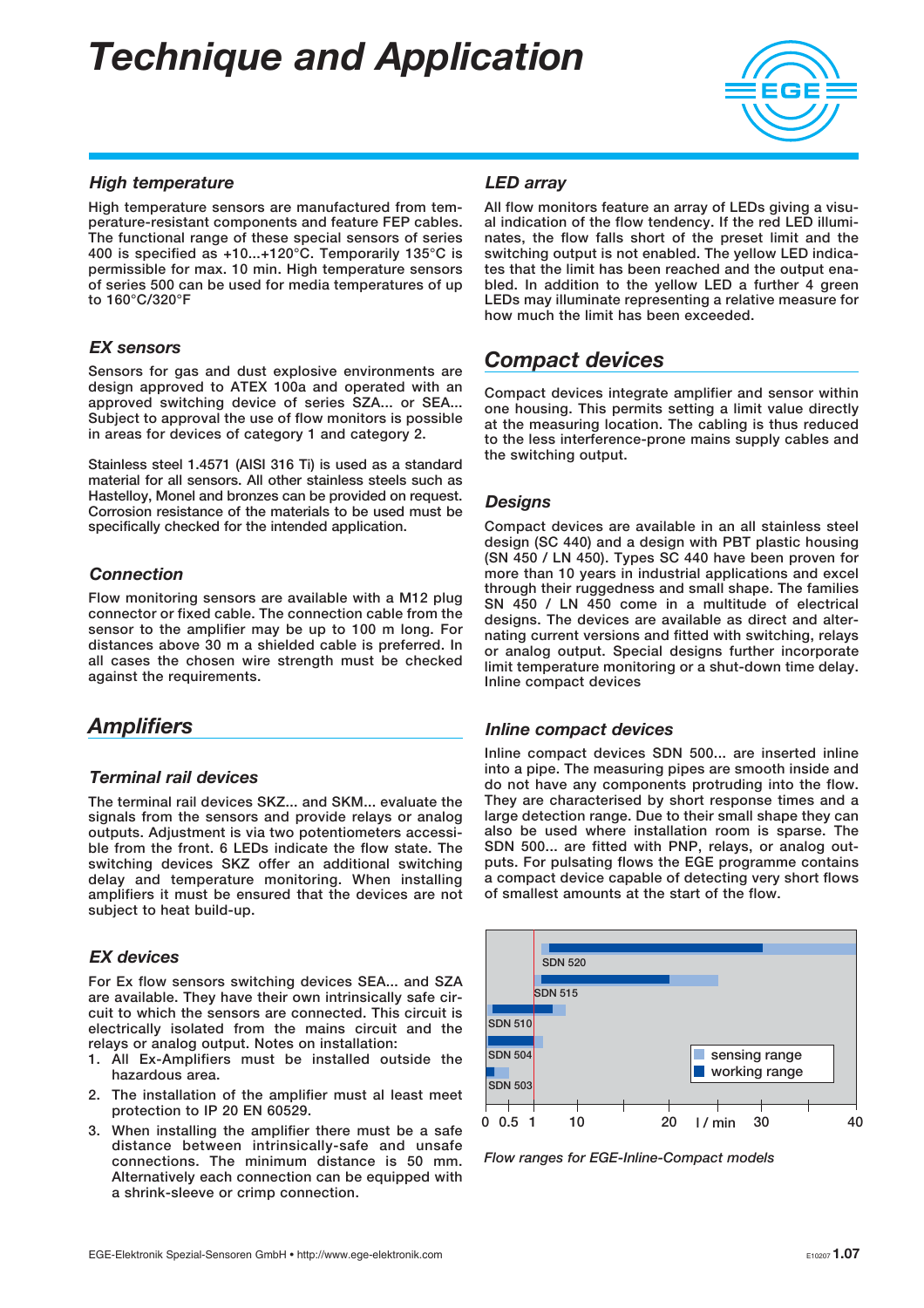

#### High temperature

High temperature sensors are manufactured from temperature-resistant components and feature FEP cables. The functional range of these special sensors of series 400 is specified as +10...+120°C. Temporarily 135°C is permissible for max. 10 min. High temperature sensors of series 500 can be used for media temperatures of up to 160°C/320°F

#### EX sensors

Sensors for gas and dust explosive environments are design approved to ATEX 100a and operated with an approved switching device of series SZA... or SEA... Subject to approval the use of flow monitors is possible in areas for devices of category 1 and category 2.

Stainless steel 1.4571 (AISI 316 Ti) is used as a standard material for all sensors. All other stainless steels such as Hastelloy, Monel and bronzes can be provided on request. Corrosion resistance of the materials to be used must be specifically checked for the intended application.

#### **Connection**

Flow monitoring sensors are available with a M12 plug connector or fixed cable. The connection cable from the sensor to the amplifier may be up to 100 m long. For distances above 30 m a shielded cable is preferred. In all cases the chosen wire strength must be checked against the requirements.

#### **Amplifiers**

#### Terminal rail devices

The terminal rail devices SKZ... and SKM... evaluate the signals from the sensors and provide relays or analog outputs. Adjustment is via two potentiometers accessible from the front. 6 LEDs indicate the flow state. The switching devices SKZ offer an additional switching delay and temperature monitoring. When installing amplifiers it must be ensured that the devices are not subject to heat build-up.

#### EX devices

For Ex flow sensors switching devices SEA... and SZA are available. They have their own intrinsically safe circuit to which the sensors are connected. This circuit is electrically isolated from the mains circuit and the relays or analog output. Notes on installation:

- 1. All Ex-Amplifiers must be installed outside the hazardous area.
- 2. The installation of the amplifier must al least meet protection to IP 20 EN 60529.
- 3. When installing the amplifier there must be a safe distance between intrinsically-safe and unsafe connections. The minimum distance is 50 mm. Alternatively each connection can be equipped with a shrink-sleeve or crimp connection.

#### LED array

All flow monitors feature an array of LEDs giving a visual indication of the flow tendency. If the red LED illuminates, the flow falls short of the preset limit and the switching output is not enabled. The yellow LED indicates that the limit has been reached and the output enabled. In addition to the yellow LED a further 4 green LEDs may illuminate representing a relative measure for how much the limit has been exceeded.

#### Compact devices

Compact devices integrate amplifier and sensor within one housing. This permits setting a limit value directly at the measuring location. The cabling is thus reduced to the less interference-prone mains supply cables and the switching output.

#### **Desians**

Compact devices are available in an all stainless steel design (SC 440) and a design with PBT plastic housing (SN 450 / LN 450). Types SC 440 have been proven for more than 10 years in industrial applications and excel through their ruggedness and small shape. The families SN 450 / LN 450 come in a multitude of electrical designs. The devices are available as direct and alternating current versions and fitted with switching, relays or analog output. Special designs further incorporate limit temperature monitoring or a shut-down time delay. Inline compact devices

#### Inline compact devices

Inline compact devices SDN 500... are inserted inline into a pipe. The measuring pipes are smooth inside and do not have any components protruding into the flow. They are characterised by short response times and a large detection range. Due to their small shape they can also be used where installation room is sparse. The SDN 500... are fitted with PNP, relays, or analog outputs. For pulsating flows the EGE programme contains a compact device capable of detecting very short flows of smallest amounts at the start of the flow.



Flow ranges for EGE-Inline-Compact models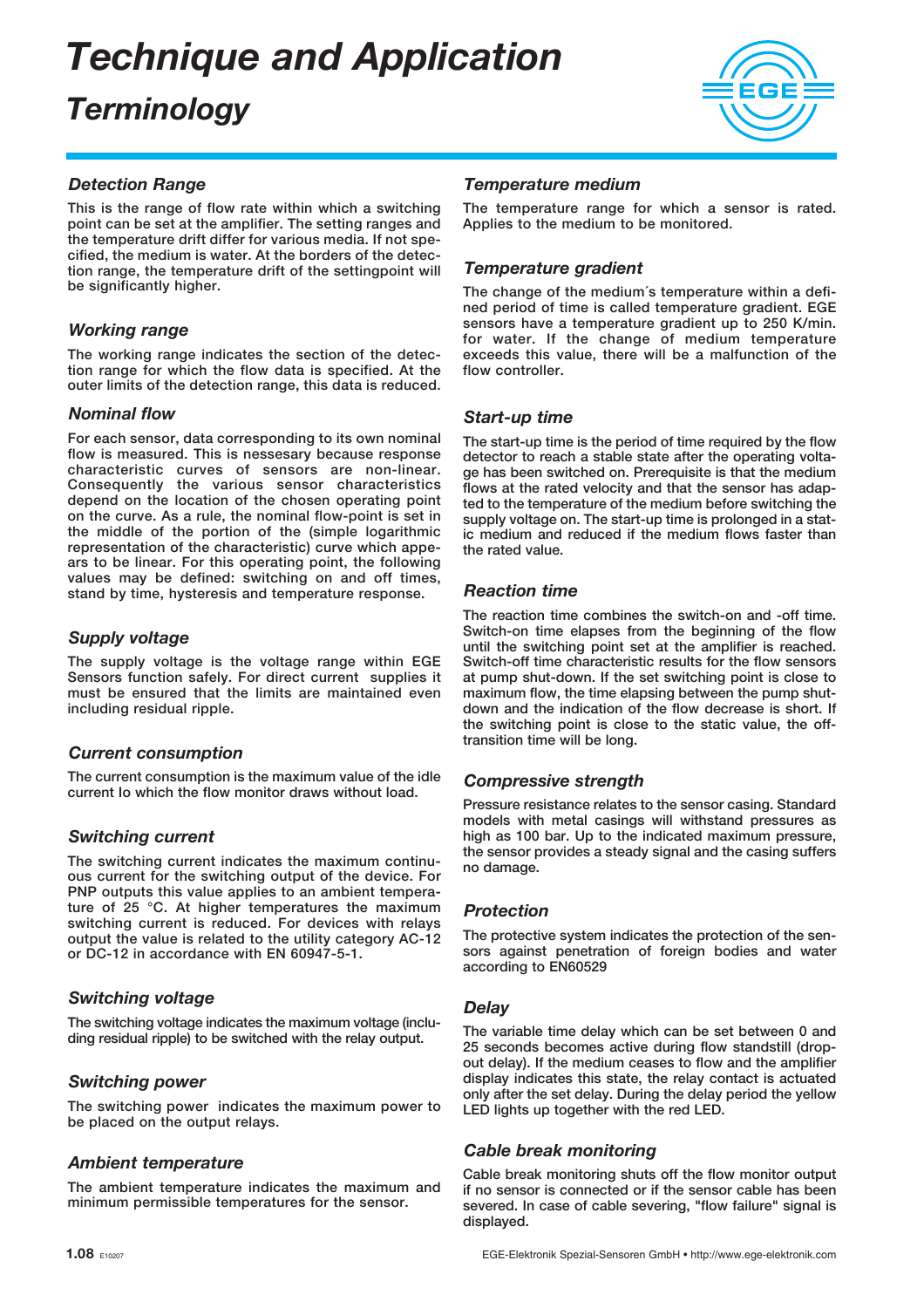### **Terminology**



#### Detection Range

This is the range of flow rate within which a switching point can be set at the amplifier. The setting ranges and the temperature drift differ for various media. If not specified, the medium is water. At the borders of the detection range, the temperature drift of the settingpoint will be significantly higher.

#### Working range

The working range indicates the section of the detection range for which the flow data is specified. At the outer limits of the detection range, this data is reduced.

#### Nominal flow

For each sensor, data corresponding to its own nominal flow is measured. This is nessesary because response characteristic curves of sensors are non-linear. Consequently the various sensor characteristics depend on the location of the chosen operating point on the curve. As a rule, the nominal flow-point is set in the middle of the portion of the (simple logarithmic representation of the characteristic) curve which appears to be linear. For this operating point, the following values may be defined: switching on and off times, stand by time, hysteresis and temperature response.

#### Supply voltage

The supply voltage is the voltage range within EGE Sensors function safely. For direct current supplies it must be ensured that the limits are maintained even including residual ripple.

#### Current consumption

The current consumption is the maximum value of the idle current Io which the flow monitor draws without load.

#### Switching current

The switching current indicates the maximum continuous current for the switching output of the device. For PNP outputs this value applies to an ambient temperature of 25 °C. At higher temperatures the maximum switching current is reduced. For devices with relays output the value is related to the utility category AC-12 or DC-12 in accordance with EN 60947-5-1.

#### Switching voltage

The switching voltage indicates the maximum voltage (including residual ripple) to be switched with the relay output.

#### Switching power

The switching power indicates the maximum power to be placed on the output relays.

#### Ambient temperature

The ambient temperature indicates the maximum and minimum permissible temperatures for the sensor.

#### Temperature medium

The temperature range for which a sensor is rated. Applies to the medium to be monitored.

#### Temperature gradient

The change of the medium´s temperature within a defined period of time is called temperature gradient. EGE sensors have a temperature gradient up to 250 K/min. for water. If the change of medium temperature exceeds this value, there will be a malfunction of the flow controller.

#### Start-up time

The start-up time is the period of time required by the flow detector to reach a stable state after the operating voltage has been switched on. Prerequisite is that the medium flows at the rated velocity and that the sensor has adapted to the temperature of the medium before switching the supply voltage on. The start-up time is prolonged in a static medium and reduced if the medium flows faster than the rated value.

#### Reaction time

The reaction time combines the switch-on and -off time. Switch-on time elapses from the beginning of the flow until the switching point set at the amplifier is reached. Switch-off time characteristic results for the flow sensors at pump shut-down. If the set switching point is close to maximum flow, the time elapsing between the pump shutdown and the indication of the flow decrease is short. If the switching point is close to the static value, the offtransition time will be long.

#### Compressive strength

Pressure resistance relates to the sensor casing. Standard models with metal casings will withstand pressures as high as 100 bar. Up to the indicated maximum pressure, the sensor provides a steady signal and the casing suffers no damage.

#### **Protection**

The protective system indicates the protection of the sensors against penetration of foreign bodies and water according to EN60529

#### **Delay**

The variable time delay which can be set between 0 and 25 seconds becomes active during flow standstill (dropout delay). If the medium ceases to flow and the amplifier display indicates this state, the relay contact is actuated only after the set delay. During the delay period the yellow LED lights up together with the red LED.

#### Cable break monitoring

Cable break monitoring shuts off the flow monitor output if no sensor is connected or if the sensor cable has been severed. In case of cable severing, "flow failure" signal is displayed.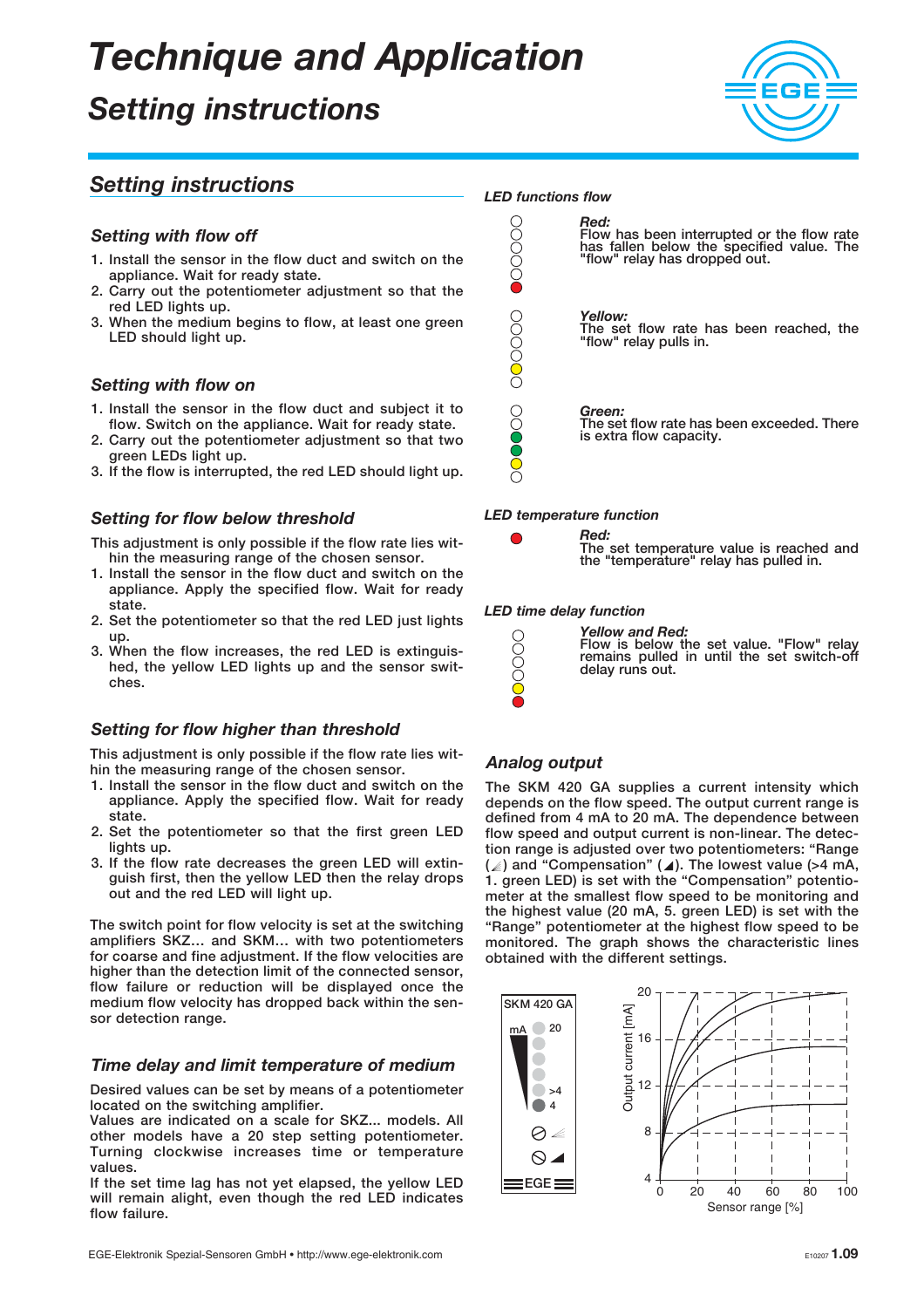### Setting instructions



#### Setting instructions

#### Setting with flow off

- 1. Install the sensor in the flow duct and switch on the appliance. Wait for ready state.
- 2. Carry out the potentiometer adjustment so that the red LED lights up.
- 3. When the medium begins to flow, at least one green LED should light up.

#### Setting with flow on

- 1. Install the sensor in the flow duct and subject it to flow. Switch on the appliance. Wait for ready state.
- 2. Carry out the potentiometer adjustment so that two green LEDs light up.
- 3. If the flow is interrupted, the red LED should light up.

#### Setting for flow below threshold

- This adjustment is only possible if the flow rate lies within the measuring range of the chosen sensor.
- 1. Install the sensor in the flow duct and switch on the appliance. Apply the specified flow. Wait for ready state.
- 2. Set the potentiometer so that the red LED just lights up.
- 3. When the flow increases, the red LED is extinguished, the yellow LED lights up and the sensor switches.

#### Setting for flow higher than threshold

This adjustment is only possible if the flow rate lies within the measuring range of the chosen sensor.

- 1. Install the sensor in the flow duct and switch on the appliance. Apply the specified flow. Wait for ready state.
- 2. Set the potentiometer so that the first green LED lights up.
- 3. If the flow rate decreases the green LED will extinguish first, then the yellow LED then the relay drops out and the red LED will light up.

The switch point for flow velocity is set at the switching amplifiers SKZ… and SKM… with two potentiometers for coarse and fine adjustment. If the flow velocities are higher than the detection limit of the connected sensor, flow failure or reduction will be displayed once the medium flow velocity has dropped back within the sensor detection range.

#### Time delay and limit temperature of medium

Desired values can be set by means of a potentiometer located on the switching amplifier.

Values are indicated on a scale for SKZ... models. All other models have a 20 step setting potentiometer. Turning clockwise increases time or temperature values.

If the set time lag has not yet elapsed, the yellow LED will remain alight, even though the red LED indicates flow failure.



#### LED temperature function

Red:

The set temperature value is reached and the "temperature" relay has pulled in.

#### LED time delay function



#### Analog output

00000

The SKM 420 GA supplies a current intensity which depends on the flow speed. The output current range is defined from 4 mA to 20 mA. The dependence between flow speed and output current is non-linear. The detection range is adjusted over two potentiometers: "Range (  $\geqslant$  ) and "Compensation" (  $\blacktriangleleft$  ). The lowest value (>4 mA, 1. green LED) is set with the "Compensation" potentiometer at the smallest flow speed to be monitoring and the highest value (20 mA, 5. green LED) is set with the "Range" potentiometer at the highest flow speed to be monitored. The graph shows the characteristic lines obtained with the different settings.

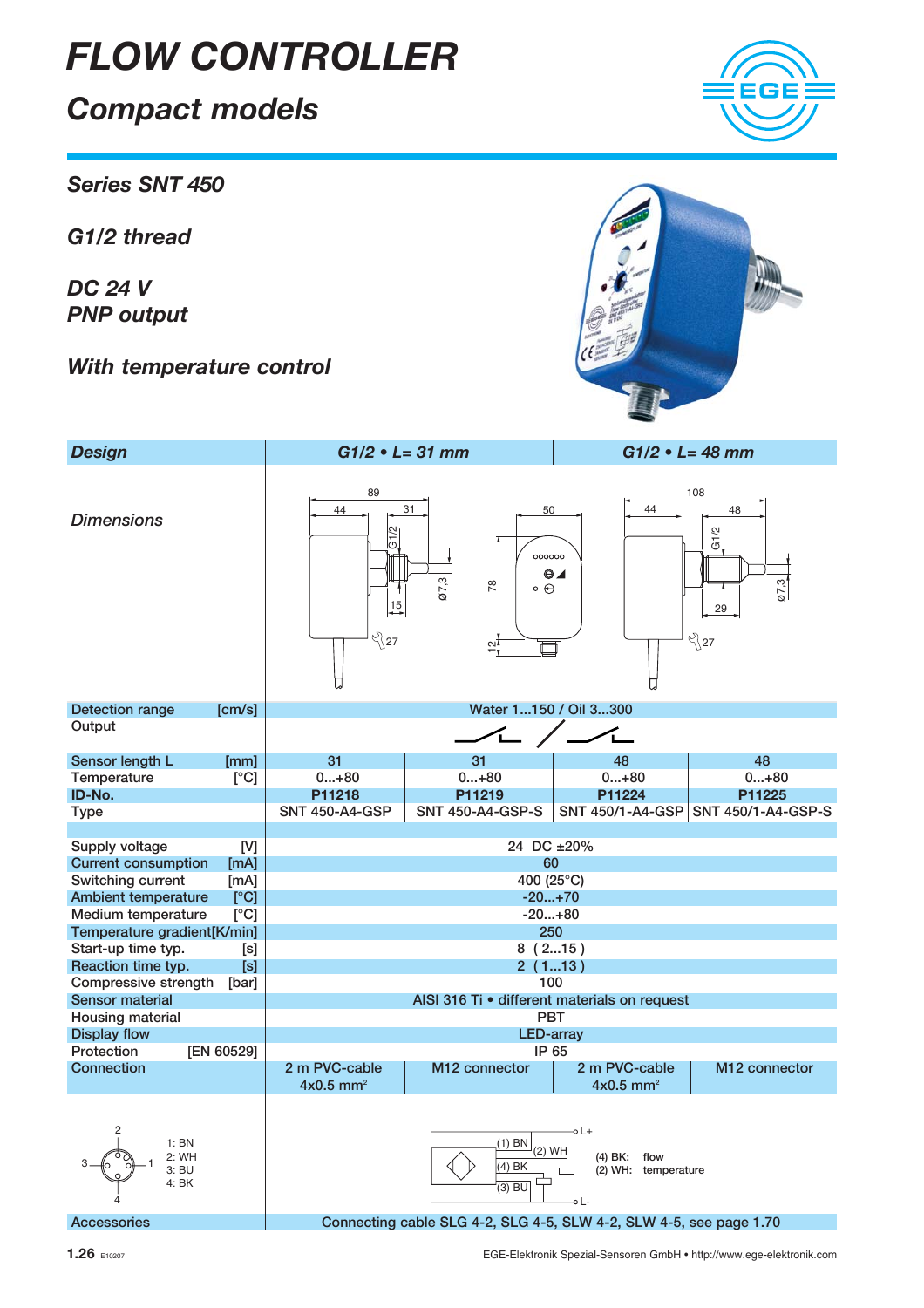### Compact models

Series SNT 450

G1/2 thread

DC 24 V PNP output

With temperature control



Accessories **Connecting cable SLG 4-2, SLG 4-5, SLW 4-2, SLW 4-5, see page 1.70** 

1.26 E10207 EGE-Elektronik Spezial-Sensoren GmbH • http://www.ege-elektronik.com



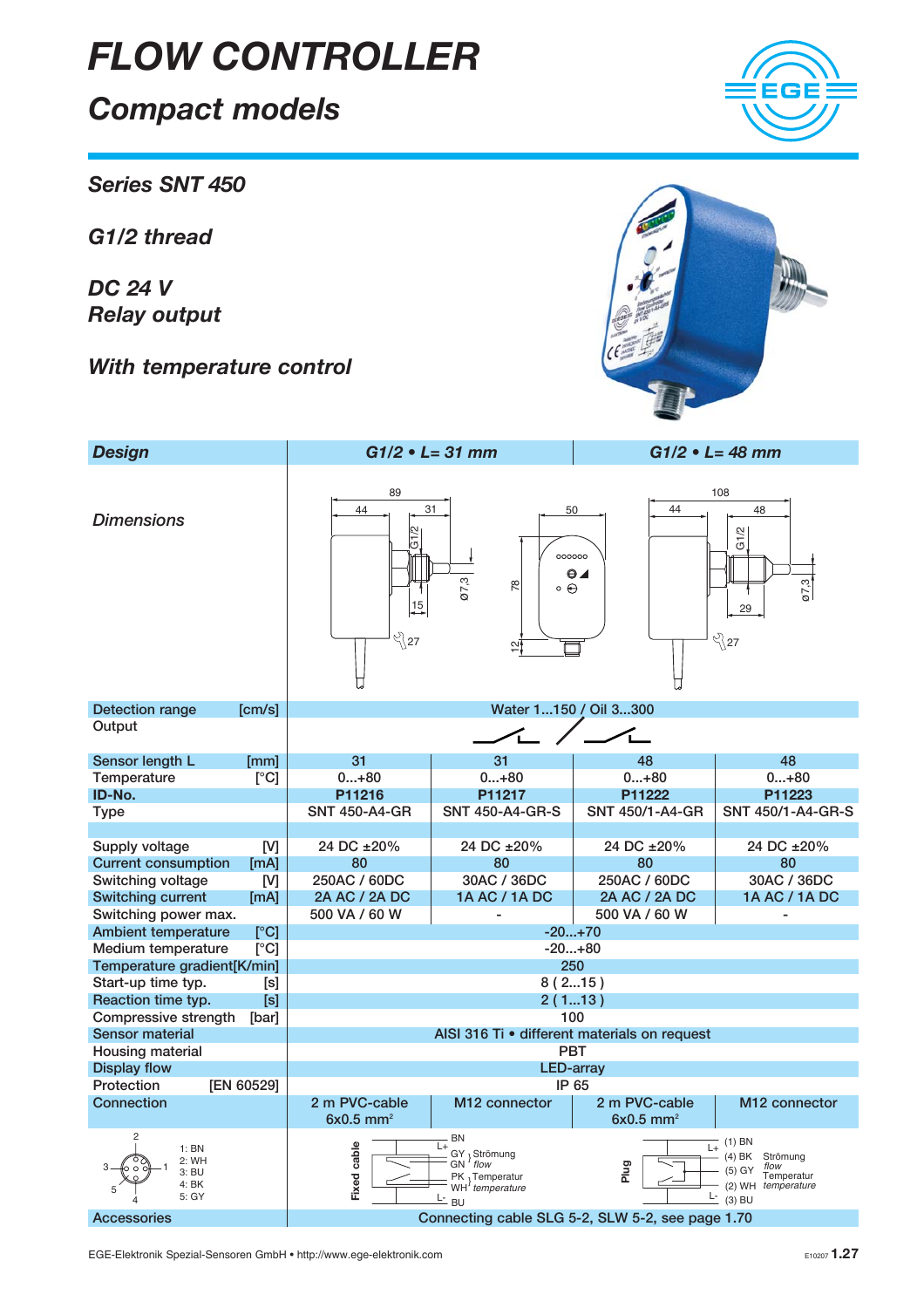### Compact models

Series SNT 450

G1/2 thread

DC 24 V Relay output

**Dimensions** 

With temperature control

G1/2  $000000C$  $\odot$ ø7,3 78  $\circ \Theta$ 15 ्<br>१27  $\overline{\omega}$ U Detection range [cm/s] Compare Compare Temperature and Mater 1...150 / Oil 3...300

89 44 31

Design G1/2 • L= 31 mm G1/2 • L= 48 mm

**Output** Sensor length L [mm] 31 31 31 48 48<br>
Temperature  $[^{\circ}C]$  0...+80 0...+80 0...+80 0...+80 0...+80 Temperature [°C] 0...+80 0...+80 0...+80 0...+80 AISI 316 Ti • different materials on request







ø7,3

108

50

44 48

G1/2

29

९े\27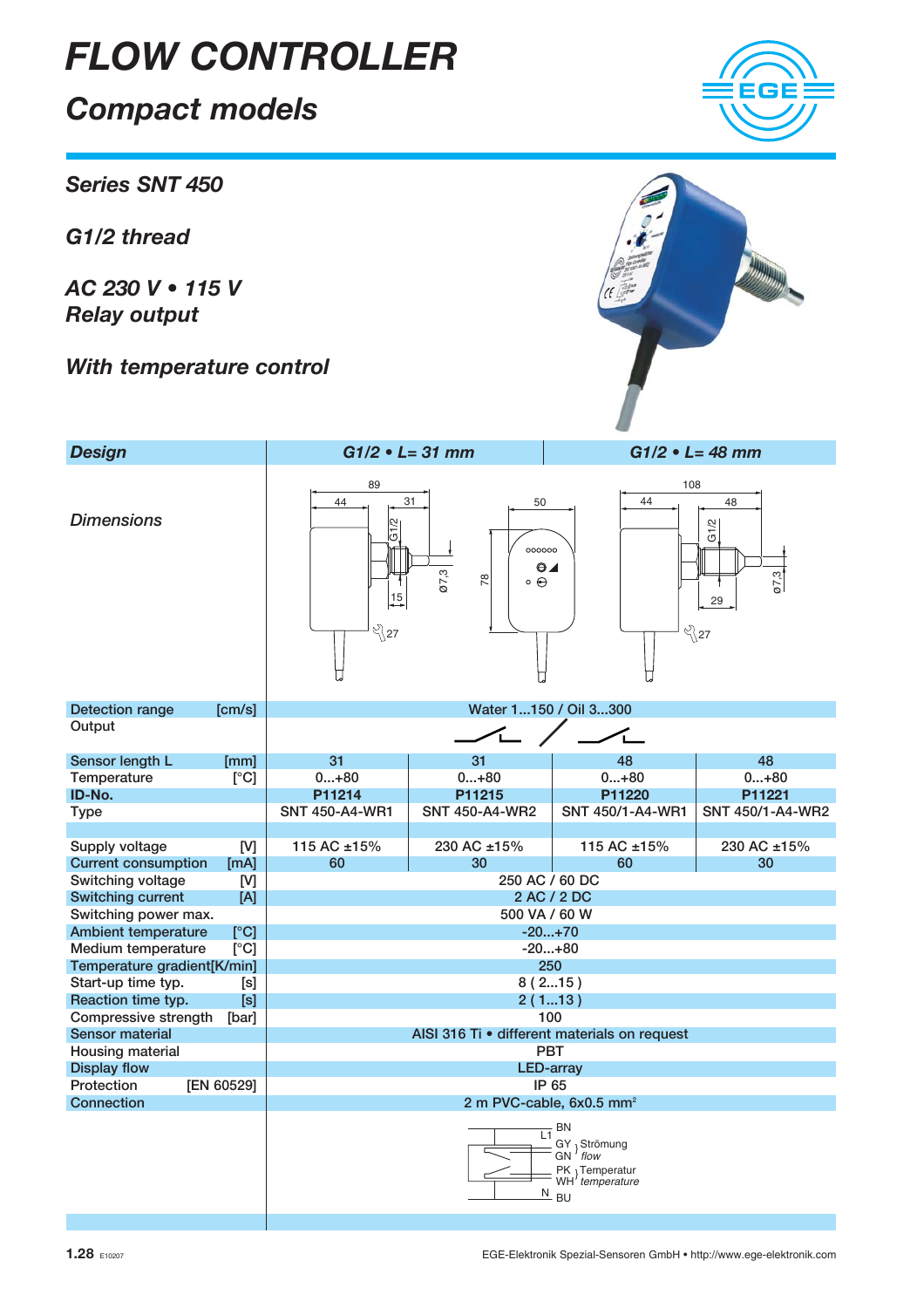### Compact models

Series SNT 450

G1/2 thread

AC 230 V • 115 V Relay output

With temperature control



| <b>Design</b>                                               |                                                                                                                    | $G1/2 \cdot L = 31$ mm                                                              |                   | $G1/2 \cdot L = 48$ mm                          |  |  |  |  |
|-------------------------------------------------------------|--------------------------------------------------------------------------------------------------------------------|-------------------------------------------------------------------------------------|-------------------|-------------------------------------------------|--|--|--|--|
| <b>Dimensions</b>                                           | 89<br>44<br>$\overline{G1/2}$<br>15<br>೪}27                                                                        | 31<br>50<br>000000<br>$\odot$<br>$\boxed{67, 3}$<br>$\frac{8}{2}$<br>$\circ \Theta$ | 108<br>44         | 48<br>G1/2<br>$\overline{07,3}$<br>29<br>ళ్ని27 |  |  |  |  |
| <b>Detection range</b><br>[cm/s]                            |                                                                                                                    | Water 1150 / Oil 3300                                                               |                   |                                                 |  |  |  |  |
| Output                                                      |                                                                                                                    |                                                                                     |                   |                                                 |  |  |  |  |
| Sensor length L<br>[mm]                                     | 31                                                                                                                 | 31                                                                                  | 48                | 48                                              |  |  |  |  |
| [°C]<br>Temperature                                         | $0+80$                                                                                                             | $0+80$                                                                              | $0+80$            | $0+80$                                          |  |  |  |  |
| ID-No.                                                      | P11214                                                                                                             | P11215                                                                              |                   | P11221                                          |  |  |  |  |
| <b>Type</b>                                                 | <b>SNT 450-A4-WR1</b>                                                                                              | <b>SNT 450-A4-WR2</b>                                                               | SNT 450/1-A4-WR1  | SNT 450/1-A4-WR2                                |  |  |  |  |
| Supply voltage<br>[V]<br><b>Current consumption</b><br>[mA] | 115 AC ±15%<br>60                                                                                                  | 230 AC ±15%<br>30                                                                   | 115 AC ±15%<br>60 | 230 AC ±15%<br>30                               |  |  |  |  |
| Switching voltage<br>[V]                                    | 250 AC / 60 DC                                                                                                     |                                                                                     |                   |                                                 |  |  |  |  |
| <b>Switching current</b><br>[A]<br>Switching power max.     | 2 AC / 2 DC<br>500 VA / 60 W                                                                                       |                                                                                     |                   |                                                 |  |  |  |  |
| <b>Ambient temperature</b>                                  | $-20+70$                                                                                                           |                                                                                     |                   |                                                 |  |  |  |  |
| Medium temperature                                          | [°C]<br>[°C]<br>$-20+80$                                                                                           |                                                                                     |                   |                                                 |  |  |  |  |
| Temperature gradient[K/min]                                 | 250                                                                                                                |                                                                                     |                   |                                                 |  |  |  |  |
| Start-up time typ.                                          | 8(215)<br>[s]                                                                                                      |                                                                                     |                   |                                                 |  |  |  |  |
| Reaction time typ.<br>[s]                                   | 2(113)                                                                                                             |                                                                                     |                   |                                                 |  |  |  |  |
| Compressive strength<br>[bar]                               | 100                                                                                                                |                                                                                     |                   |                                                 |  |  |  |  |
| Sensor material                                             | AISI 316 Ti · different materials on request                                                                       |                                                                                     |                   |                                                 |  |  |  |  |
| Housing material                                            | <b>PBT</b>                                                                                                         |                                                                                     |                   |                                                 |  |  |  |  |
| <b>Display flow</b>                                         | <b>LED-array</b>                                                                                                   |                                                                                     |                   |                                                 |  |  |  |  |
| Protection<br>[EN 60529]                                    | IP 65                                                                                                              |                                                                                     |                   |                                                 |  |  |  |  |
| Connection                                                  | 2 m PVC-cable, 6x0.5 mm <sup>2</sup>                                                                               |                                                                                     |                   |                                                 |  |  |  |  |
|                                                             | <b>BN</b><br>L1<br>GY } Strömung<br>GN <i>flow</i><br>PK 3 Temperatur<br>WH <i>temperature</i><br>$\frac{N}{2}$ BU |                                                                                     |                   |                                                 |  |  |  |  |